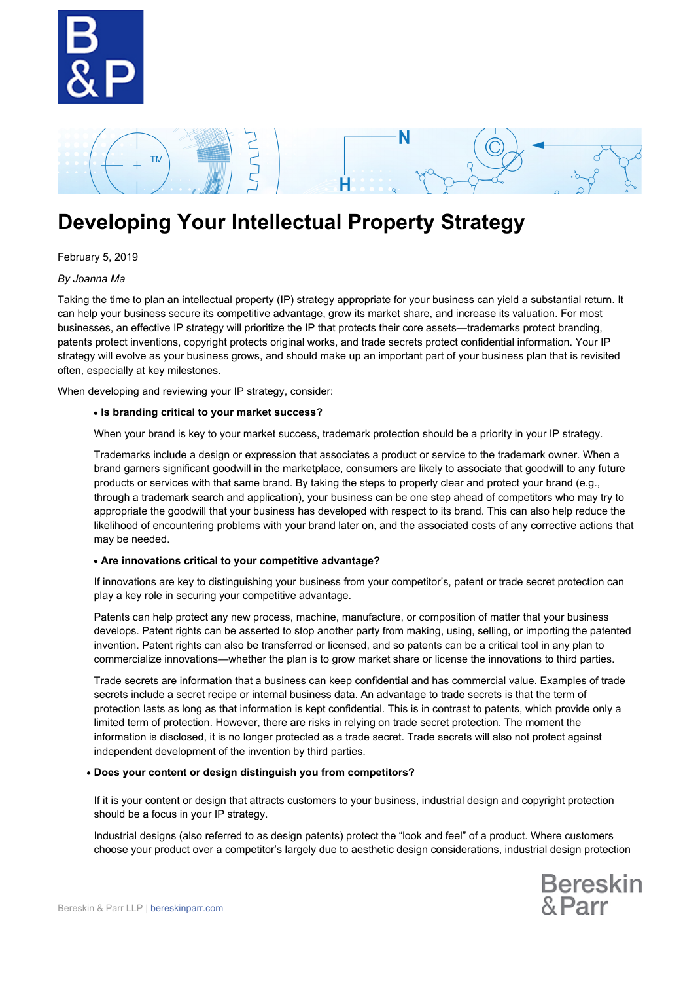

## N **TM** н

# **Developing Your Intellectual Property Strategy**

### February 5, 2019

#### *By Joanna Ma*

Taking the time to plan an intellectual property (IP) strategy appropriate for your business can yield a substantial return. It can help your business secure its competitive advantage, grow its market share, and increase its valuation. For most businesses, an effective IP strategy will prioritize the IP that protects their core assets—trademarks protect branding, patents protect inventions, copyright protects original works, and trade secrets protect confidential information. Your IP strategy will evolve as your business grows, and should make up an important part of your business plan that is revisited often, especially at key milestones.

When developing and reviewing your IP strategy, consider:

#### **Is branding critical to your market success?**

When your brand is key to your market success, trademark protection should be a priority in your IP strategy.

Trademarks include a design or expression that associates a product or service to the trademark owner. When a brand garners significant goodwill in the marketplace, consumers are likely to associate that goodwill to any future products or services with that same brand. By taking the steps to properly clear and protect your brand (e.g., through a trademark search and application), your business can be one step ahead of competitors who may try to appropriate the goodwill that your business has developed with respect to its brand. This can also help reduce the likelihood of encountering problems with your brand later on, and the associated costs of any corrective actions that may be needed.

#### **Are innovations critical to your competitive advantage?**

If innovations are key to distinguishing your business from your competitor's, patent or trade secret protection can play a key role in securing your competitive advantage.

Patents can help protect any new process, machine, manufacture, or composition of matter that your business develops. Patent rights can be asserted to stop another party from making, using, selling, or importing the patented invention. Patent rights can also be transferred or licensed, and so patents can be a critical tool in any plan to commercialize innovations—whether the plan is to grow market share or license the innovations to third parties.

Trade secrets are information that a business can keep confidential and has commercial value. Examples of trade secrets include a secret recipe or internal business data. An advantage to trade secrets is that the term of protection lasts as long as that information is kept confidential. This is in contrast to patents, which provide only a limited term of protection. However, there are risks in relying on trade secret protection. The moment the information is disclosed, it is no longer protected as a trade secret. Trade secrets will also not protect against independent development of the invention by third parties.

#### **Does your content or design distinguish you from competitors?**

If it is your content or design that attracts customers to your business, industrial design and copyright protection should be a focus in your IP strategy.

Industrial designs (also referred to as design patents) protect the "look and feel" of a product. Where customers choose your product over a competitor's largely due to aesthetic design considerations, industrial design protection